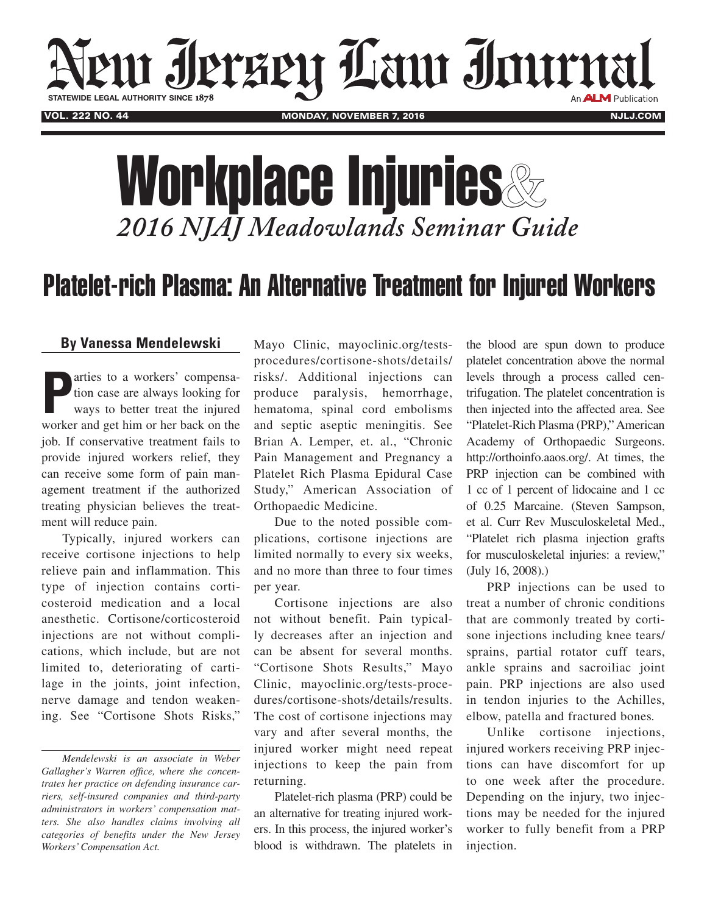

## Workplace Injuries & *2016 NJAJ Meadowlands Seminar Guide*

## Platelet-rich Plasma: An Alternative Treatment for Injured Workers

## **By Vanessa Mendelewski**

**P**arties to a workers' compensa-<br>tion case are always looking for<br>ways to better treat the injured<br>worker and get him or her back on the arties to a workers' compensation case are always looking for ways to better treat the injured job. If conservative treatment fails to provide injured workers relief, they can receive some form of pain management treatment if the authorized treating physician believes the treatment will reduce pain.

Typically, injured workers can receive cortisone injections to help relieve pain and inflammation. This type of injection contains corticosteroid medication and a local anesthetic. Cortisone/corticosteroid injections are not without complications, which include, but are not limited to, deteriorating of cartilage in the joints, joint infection, nerve damage and tendon weakening. See "Cortisone Shots Risks,"

Mayo Clinic, mayoclinic.org/testsprocedures/cortisone-shots/details/ risks/. Additional injections can produce paralysis, hemorrhage, hematoma, spinal cord embolisms and septic aseptic meningitis. See Brian A. Lemper, et. al., "Chronic Pain Management and Pregnancy a Platelet Rich Plasma Epidural Case Study," American Association of Orthopaedic Medicine.

Due to the noted possible complications, cortisone injections are limited normally to every six weeks, and no more than three to four times per year.

Cortisone injections are also not without benefit. Pain typically decreases after an injection and can be absent for several months. "Cortisone Shots Results," Mayo Clinic, mayoclinic.org/tests-procedures/cortisone-shots/details/results. The cost of cortisone injections may vary and after several months, the injured worker might need repeat injections to keep the pain from returning.

Platelet-rich plasma (PRP) could be an alternative for treating injured workers. In this process, the injured worker's blood is withdrawn. The platelets in

the blood are spun down to produce platelet concentration above the normal levels through a process called centrifugation. The platelet concentration is then injected into the affected area. See "Platelet-Rich Plasma (PRP)," American Academy of Orthopaedic Surgeons. [http://orthoinfo.aaos.org/.](http://orthoinfo.aaos.org/topic.cfm?topic=A00648) At times, the PRP injection can be combined with 1 cc of 1 percent of lidocaine and 1 cc of 0.25 Marcaine. (Steven Sampson, et al. Curr Rev Musculoskeletal Med., "Platelet rich plasma injection grafts for musculoskeletal injuries: a review," (July 16, 2008).)

PRP injections can be used to treat a number of chronic conditions that are commonly treated by cortisone injections including knee tears/ sprains, partial rotator cuff tears, ankle sprains and sacroiliac joint pain. PRP injections are also used in tendon injuries to the Achilles, elbow, patella and fractured bones*.*

Unlike cortisone injections, injured workers receiving PRP injections can have discomfort for up to one week after the procedure. Depending on the injury, two injections may be needed for the injured worker to fully benefit from a PRP injection.

*Mendelewski is an associate in Weber Gallagher's Warren office, where she concentrates her practice on defending insurance carriers, self-insured companies and third-party administrators in workers' compensation matters. She also handles claims involving all categories of benefits under the New Jersey Workers' Compensation Act.*